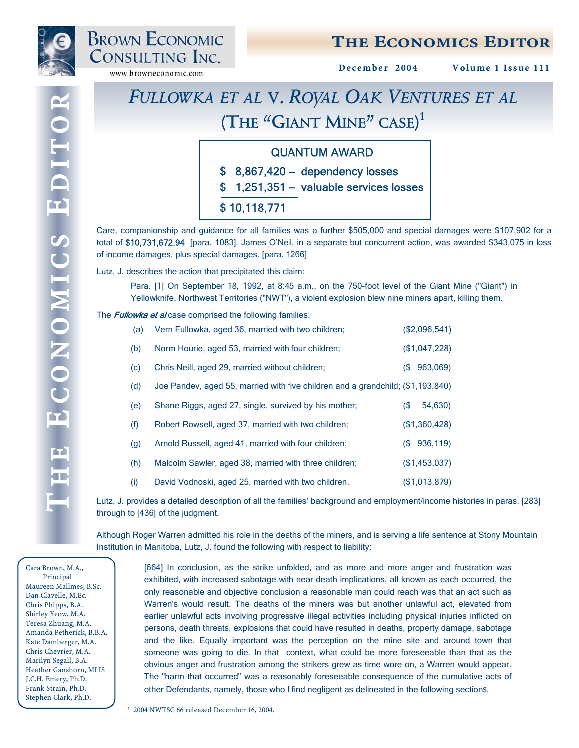

# THE ECONOMICS EDITOR

December 2004 Volume 1 Issue 111

# *FULLOWKA ET AL* **V.** *ROYAL OAK VENTURES ET AL* **(THE "GIANT MINE" CASE) 1**

### QUANTUM AWARD

\$ 8,867,420 — dependency losses

\$ 1,251,351 — valuable services losses

### \$ 10,118,771

Care, companionship and guidance for all families was a further \$505,000 and special damages were \$107,902 for a total of \$10,731,672.94 [para. 1083]. James O'Neil, in a separate but concurrent action, was awarded \$343,075 in loss of income damages, plus special damages. [para. 1266]

Lutz, J. describes the action that precipitated this claim:

Para. [1] On September 18, 1992, at 8:45 a.m., on the 750-foot level of the Giant Mine ("Giant") in Yellowknife, Northwest Territories ("NWT"), a violent explosion blew nine miners apart, killing them.

#### The **Fullowka et al** case comprised the following families:

| (a) | Vern Fullowka, aged 36, married with two children;                              |     | (\$2,096,541) |
|-----|---------------------------------------------------------------------------------|-----|---------------|
| (b) | Norm Hourie, aged 53, married with four children;                               |     | (\$1,047,228) |
| (c) | Chris Neill, aged 29, married without children;                                 | (S) | 963,069)      |
| (d) | Joe Pandev, aged 55, married with five children and a grandchild; (\$1,193,840) |     |               |
| (e) | Shane Riggs, aged 27, single, survived by his mother;                           | (\$ | 54,630)       |
| (f) | Robert Rowsell, aged 37, married with two children;                             |     | (\$1,360,428) |
| (g) | Arnold Russell, aged 41, married with four children;                            |     | (\$936,119)   |
| (h) | Malcolm Sawler, aged 38, married with three children;                           |     | (\$1,453,037) |
| (i) | David Vodnoski, aged 25, married with two children.                             |     | (\$1,013,879) |

Lutz, J. provides a detailed description of all the families' background and employment/income histories in paras. [283] through to [436] of the judgment.

Although Roger Warren admitted his role in the deaths of the miners, and is serving a life sentence at Stony Mountain Institution in Manitoba, Lutz, J. found the following with respect to liability:

Cara Brown, M.A., Principal Maureen Mallmes, B.Sc. Dan Clavelle, M.Ec. Chris Phipps, B.A. Shirley Yeow, M.A. Teresa Zhuang, M.A. Amanda Petherick, B.B.A. Kate Damberger, M.A. Chris Chevrier, M.A. Marilyn Segall, B.A. Heather Ganshorn, MLIS J.C.H. Emery, Ph.D. Frank Strain, Ph.D. Stephen Clark, Ph.D.

 $\blacksquare$ 

F

Œ

[664] In conclusion, as the strike unfolded, and as more and more anger and frustration was exhibited, with increased sabotage with near death implications, all known as each occurred, the only reasonable and objective conclusion a reasonable man could reach was that an act such as Warren's would result. The deaths of the miners was but another unlawful act, elevated from earlier unlawful acts involving progressive illegal activities including physical injuries inflicted on persons, death threats, explosions that could have resulted in deaths, property damage, sabotage and the like. Equally important was the perception on the mine site and around town that someone was going to die. In that context, what could be more foreseeable than that as the obvious anger and frustration among the strikers grew as time wore on, a Warren would appear. The "harm that occurred" was a reasonably foreseeable consequence of the cumulative acts of other Defendants, namely, those who I find negligent as delineated in the following sections.

1 2004 NWTSC 66 released December 16, 2004.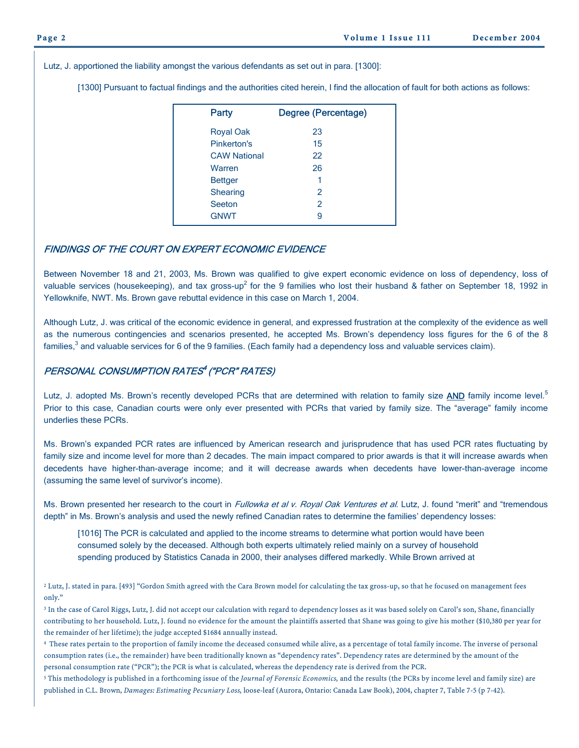Lutz, J. apportioned the liability amongst the various defendants as set out in para. [1300]:

[1300] Pursuant to factual findings and the authorities cited herein, I find the allocation of fault for both actions as follows:

| <b>Party</b>        | Degree (Percentage) |
|---------------------|---------------------|
| <b>Royal Oak</b>    | 23                  |
| Pinkerton's         | 15                  |
| <b>CAW National</b> | 22                  |
| Warren              | 26                  |
| <b>Bettger</b>      | 1                   |
| <b>Shearing</b>     | $\mathcal{P}$       |
| Seeton              | $\mathfrak{p}$      |
| <b>GNWT</b>         | 9                   |

#### FINDINGS OF THE COURT ON EXPERT ECONOMIC EVIDENCE

Between November 18 and 21, 2003, Ms. Brown was qualified to give expert economic evidence on loss of dependency, loss of valuable services (housekeeping), and tax gross-up<sup>2</sup> for the 9 families who lost their husband & father on September 18, 1992 in Yellowknife, NWT. Ms. Brown gave rebuttal evidence in this case on March 1, 2004.

Although Lutz, J. was critical of the economic evidence in general, and expressed frustration at the complexity of the evidence as well as the numerous contingencies and scenarios presented, he accepted Ms. Brown's dependency loss figures for the 6 of the 8 families,<sup>3</sup> and valuable services for 6 of the 9 families. (Each family had a dependency loss and valuable services claim).

### PERSONAL CONSUMPTION RATES<sup>4</sup> ("PCR" RATES)

Lutz, J. adopted Ms. Brown's recently developed PCRs that are determined with relation to family size AND family income level.<sup>5</sup> Prior to this case, Canadian courts were only ever presented with PCRs that varied by family size. The "average" family income underlies these PCRs.

Ms. Brown's expanded PCR rates are influenced by American research and jurisprudence that has used PCR rates fluctuating by family size and income level for more than 2 decades. The main impact compared to prior awards is that it will increase awards when decedents have higher-than-average income; and it will decrease awards when decedents have lower-than-average income (assuming the same level of survivor's income).

Ms. Brown presented her research to the court in Fullowka et al v. Royal Oak Ventures et al. Lutz, J. found "merit" and "tremendous depth" in Ms. Brown's analysis and used the newly refined Canadian rates to determine the families' dependency losses:

[1016] The PCR is calculated and applied to the income streams to determine what portion would have been consumed solely by the deceased. Although both experts ultimately relied mainly on a survey of household spending produced by Statistics Canada in 2000, their analyses differed markedly. While Brown arrived at

<sup>2</sup> Lutz, J. stated in para. [493] "Gordon Smith agreed with the Cara Brown model for calculating the tax gross-up, so that he focused on management fees only."

<sup>3</sup> In the case of Carol Riggs, Lutz, J. did not accept our calculation with regard to dependency losses as it was based solely on Carol's son, Shane, financially contributing to her household. Lutz, J. found no evidence for the amount the plaintiffs asserted that Shane was going to give his mother (\$10,380 per year for the remainder of her lifetime); the judge accepted \$1684 annually instead.

<sup>4</sup> These rates pertain to the proportion of family income the deceased consumed while alive, as a percentage of total family income. The inverse of personal consumption rates (i.e., the remainder) have been traditionally known as "dependency rates". Dependency rates are determined by the amount of the personal consumption rate ("PCR"); the PCR is what is calculated, whereas the dependency rate is derived from the PCR.

<sup>5</sup> This methodology is published in a forthcoming issue of the *Journal of Forensic Economics,* and the results (the PCRs by income level and family size) are published in C.L. Brown, *Damages: Estimating Pecuniary Loss,* loose-leaf (Aurora, Ontario: Canada Law Book), 2004, chapter 7, Table 7-5 (p 7-42).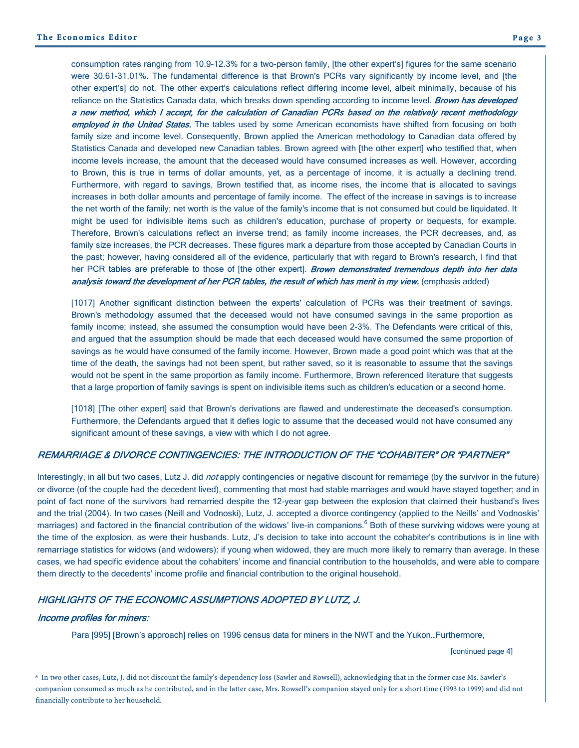consumption rates ranging from 10.9-12.3% for a two-person family, [the other expert's] figures for the same scenario were 30.61-31.01%. The fundamental difference is that Brown's PCRs vary significantly by income level, and [the other expert's] do not. The other expert's calculations reflect differing income level, albeit minimally, because of his reliance on the Statistics Canada data, which breaks down spending according to income level. **Brown has developed** a new method, which I accept, for the calculation of Canadian PCRs based on the relatively recent methodology employed in the United States. The tables used by some American economists have shifted from focusing on both family size and income level. Consequently, Brown applied the American methodology to Canadian data offered by Statistics Canada and developed new Canadian tables. Brown agreed with [the other expert] who testified that, when income levels increase, the amount that the deceased would have consumed increases as well. However, according to Brown, this is true in terms of dollar amounts, yet, as a percentage of income, it is actually a declining trend. Furthermore, with regard to savings, Brown testified that, as income rises, the income that is allocated to savings increases in both dollar amounts and percentage of family income. The effect of the increase in savings is to increase the net worth of the family; net worth is the value of the family's income that is not consumed but could be liquidated. It might be used for indivisible items such as children's education, purchase of property or bequests, for example. Therefore, Brown's calculations reflect an inverse trend; as family income increases, the PCR decreases, and, as family size increases, the PCR decreases. These figures mark a departure from those accepted by Canadian Courts in the past; however, having considered all of the evidence, particularly that with regard to Brown's research, I find that her PCR tables are preferable to those of [the other expert]. Brown demonstrated tremendous depth into her data analysis toward the development of her PCR tables, the result of which has merit in my view. (emphasis added)

[1017] Another significant distinction between the experts' calculation of PCRs was their treatment of savings. Brown's methodology assumed that the deceased would not have consumed savings in the same proportion as family income; instead, she assumed the consumption would have been 2-3%. The Defendants were critical of this, and argued that the assumption should be made that each deceased would have consumed the same proportion of savings as he would have consumed of the family income. However, Brown made a good point which was that at the time of the death, the savings had not been spent, but rather saved, so it is reasonable to assume that the savings would not be spent in the same proportion as family income. Furthermore, Brown referenced literature that suggests that a large proportion of family savings is spent on indivisible items such as children's education or a second home.

[1018] [The other expert] said that Brown's derivations are flawed and underestimate the deceased's consumption. Furthermore, the Defendants argued that it defies logic to assume that the deceased would not have consumed any significant amount of these savings, a view with which I do not agree.

#### REMARRIAGE & DIVORCE CONTINGENCIES: THE INTRODUCTION OF THE "COHABITER" OR "PARTNER"

Interestingly, in all but two cases, Lutz J. did not apply contingencies or negative discount for remarriage (by the survivor in the future) or divorce (of the couple had the decedent lived), commenting that most had stable marriages and would have stayed together; and in point of fact none of the survivors had remarried despite the 12-year gap between the explosion that claimed their husband's lives and the trial (2004). In two cases (Neill and Vodnoski), Lutz, J. accepted a divorce contingency (applied to the Neills' and Vodnoskis' marriages) and factored in the financial contribution of the widows' live-in companions.<sup>6</sup> Both of these surviving widows were young at the time of the explosion, as were their husbands. Lutz, J's decision to take into account the cohabiter's contributions is in line with remarriage statistics for widows (and widowers): if young when widowed, they are much more likely to remarry than average. In these cases, we had specific evidence about the cohabiters' income and financial contribution to the households, and were able to compare them directly to the decedents' income profile and financial contribution to the original household.

#### HIGHLIGHTS OF THE ECONOMIC ASSUMPTIONS ADOPTED BY LUTZ, J.

#### Income profiles for miners:

Para [995] [Brown's approach] relies on 1996 census data for miners in the NWT and the Yukon…Furthermore,

[continued page 4]

6 In two other cases, Lutz, J. did not discount the family's dependency loss (Sawler and Rowsell), acknowledging that in the former case Ms. Sawler's companion consumed as much as he contributed, and in the latter case, Mrs. Rowsell's companion stayed only for a short time (1993 to 1999) and did not financially contribute to her household.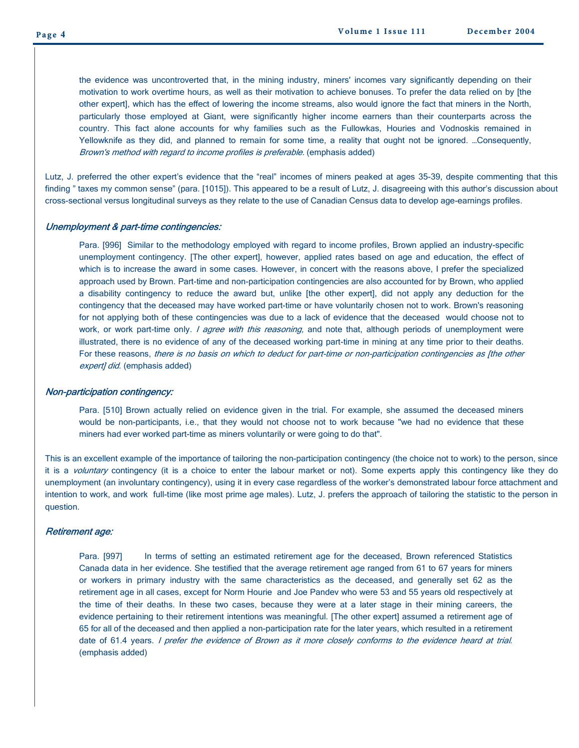the evidence was uncontroverted that, in the mining industry, miners' incomes vary significantly depending on their motivation to work overtime hours, as well as their motivation to achieve bonuses. To prefer the data relied on by [the other expert], which has the effect of lowering the income streams, also would ignore the fact that miners in the North, particularly those employed at Giant, were significantly higher income earners than their counterparts across the country. This fact alone accounts for why families such as the Fullowkas, Houries and Vodnoskis remained in Yellowknife as they did, and planned to remain for some time, a reality that ought not be ignored. …Consequently, Brown's method with regard to income profiles is preferable. (emphasis added)

Lutz, J. preferred the other expert's evidence that the "real" incomes of miners peaked at ages 35-39, despite commenting that this finding " taxes my common sense" (para. [1015]). This appeared to be a result of Lutz, J. disagreeing with this author's discussion about cross-sectional versus longitudinal surveys as they relate to the use of Canadian Census data to develop age-earnings profiles.

#### Unemployment & part-time contingencies:

Para. [996] Similar to the methodology employed with regard to income profiles, Brown applied an industry-specific unemployment contingency. [The other expert], however, applied rates based on age and education, the effect of which is to increase the award in some cases. However, in concert with the reasons above, I prefer the specialized approach used by Brown. Part-time and non-participation contingencies are also accounted for by Brown, who applied a disability contingency to reduce the award but, unlike [the other expert], did not apply any deduction for the contingency that the deceased may have worked part-time or have voluntarily chosen not to work. Brown's reasoning for not applying both of these contingencies was due to a lack of evidence that the deceased would choose not to work, or work part-time only. I agree with this reasoning, and note that, although periods of unemployment were illustrated, there is no evidence of any of the deceased working part-time in mining at any time prior to their deaths. For these reasons, there is no basis on which to deduct for part-time or non-participation contingencies as [the other expert] did. (emphasis added)

#### Non-participation contingency:

Para. [510] Brown actually relied on evidence given in the trial. For example, she assumed the deceased miners would be non-participants, i.e., that they would not choose not to work because "we had no evidence that these miners had ever worked part-time as miners voluntarily or were going to do that".

This is an excellent example of the importance of tailoring the non-participation contingency (the choice not to work) to the person, since it is a voluntary contingency (it is a choice to enter the labour market or not). Some experts apply this contingency like they do unemployment (an involuntary contingency), using it in every case regardless of the worker's demonstrated labour force attachment and intention to work, and work full-time (like most prime age males). Lutz, J. prefers the approach of tailoring the statistic to the person in question.

#### Retirement age:

Para. [997] In terms of setting an estimated retirement age for the deceased, Brown referenced Statistics Canada data in her evidence. She testified that the average retirement age ranged from 61 to 67 years for miners or workers in primary industry with the same characteristics as the deceased, and generally set 62 as the retirement age in all cases, except for Norm Hourie and Joe Pandev who were 53 and 55 years old respectively at the time of their deaths. In these two cases, because they were at a later stage in their mining careers, the evidence pertaining to their retirement intentions was meaningful. [The other expert] assumed a retirement age of 65 for all of the deceased and then applied a non-participation rate for the later years, which resulted in a retirement date of 61.4 years. *I prefer the evidence of Brown as it more closely conforms to the evidence heard at trial.* (emphasis added)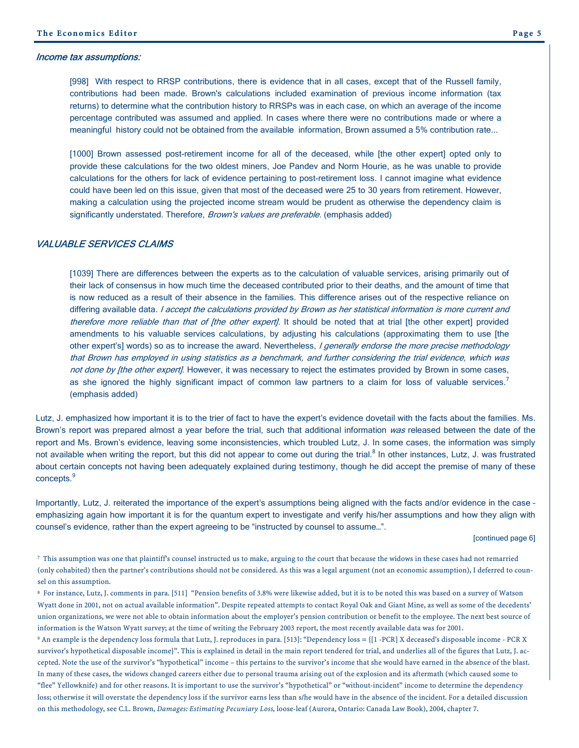#### Income tax assumptions:

[998] With respect to RRSP contributions, there is evidence that in all cases, except that of the Russell family, contributions had been made. Brown's calculations included examination of previous income information (tax returns) to determine what the contribution history to RRSPs was in each case, on which an average of the income percentage contributed was assumed and applied. In cases where there were no contributions made or where a meaningful history could not be obtained from the available information, Brown assumed a 5% contribution rate...

[1000] Brown assessed post-retirement income for all of the deceased, while [the other expert] opted only to provide these calculations for the two oldest miners, Joe Pandev and Norm Hourie, as he was unable to provide calculations for the others for lack of evidence pertaining to post-retirement loss. I cannot imagine what evidence could have been led on this issue, given that most of the deceased were 25 to 30 years from retirement. However, making a calculation using the projected income stream would be prudent as otherwise the dependency claim is significantly understated. Therefore, Brown's values are preferable. (emphasis added)

#### VALUABLE SERVICES CLAIMS

[1039] There are differences between the experts as to the calculation of valuable services, arising primarily out of their lack of consensus in how much time the deceased contributed prior to their deaths, and the amount of time that is now reduced as a result of their absence in the families. This difference arises out of the respective reliance on differing available data. I accept the calculations provided by Brown as her statistical information is more current and therefore more reliable than that of [the other expert]. It should be noted that at trial [the other expert] provided amendments to his valuable services calculations, by adjusting his calculations (approximating them to use [the other expert's] words) so as to increase the award. Nevertheless, I generally endorse the more precise methodology that Brown has employed in using statistics as a benchmark, and further considering the trial evidence, which was not done by [the other expert]. However, it was necessary to reject the estimates provided by Brown in some cases, as she ignored the highly significant impact of common law partners to a claim for loss of valuable services.<sup>7</sup> (emphasis added)

Lutz, J. emphasized how important it is to the trier of fact to have the expert's evidence dovetail with the facts about the families. Ms. Brown's report was prepared almost a year before the trial, such that additional information was released between the date of the report and Ms. Brown's evidence, leaving some inconsistencies, which troubled Lutz, J. In some cases, the information was simply not available when writing the report, but this did not appear to come out during the trial.<sup>8</sup> In other instances, Lutz, J. was frustrated about certain concepts not having been adequately explained during testimony, though he did accept the premise of many of these concepts.<sup>9</sup>

Importantly, Lutz, J. reiterated the importance of the expert's assumptions being aligned with the facts and/or evidence in the case – emphasizing again how important it is for the quantum expert to investigate and verify his/her assumptions and how they align with counsel's evidence, rather than the expert agreeing to be "instructed by counsel to assume…".

[continued page 6]

<sup>7</sup> This assumption was one that plaintiff's counsel instructed us to make, arguing to the court that because the widows in these cases had not remarried (only cohabited) then the partner's contributions should not be considered. As this was a legal argument (not an economic assumption), I deferred to counsel on this assumption.

8 For instance, Lutz, J. comments in para. [511] "Pension benefits of 3.8% were likewise added, but it is to be noted this was based on a survey of Watson Wyatt done in 2001, not on actual available information". Despite repeated attempts to contact Royal Oak and Giant Mine, as well as some of the decedents' union organizations, we were not able to obtain information about the employer's pension contribution or benefit to the employee. The next best source of information is the Watson Wyatt survey; at the time of writing the February 2003 report, the most recently available data was for 2001.

9 An example is the dependency loss formula that Lutz, J. reproduces in para. [513]: "Dependency loss = {[1 -PCR] X deceased's disposable income - PCR X survivor's hypothetical disposable income}". This is explained in detail in the main report tendered for trial, and underlies all of the figures that Lutz, J. accepted. Note the use of the survivor's "hypothetical" income – this pertains to the survivor's income that she would have earned in the absence of the blast. In many of these cases, the widows changed careers either due to personal trauma arising out of the explosion and its aftermath (which caused some to "flee" Yellowknife) and for other reasons. It is important to use the survivor's "hypothetical" or "without-incident" income to determine the dependency loss; otherwise it will overstate the dependency loss if the survivor earns less than s/he would have in the absence of the incident. For a detailed discussion on this methodology, see C.L. Brown, *Damages: Estimating Pecuniary Loss,* loose-leaf (Aurora, Ontario: Canada Law Book), 2004, chapter 7.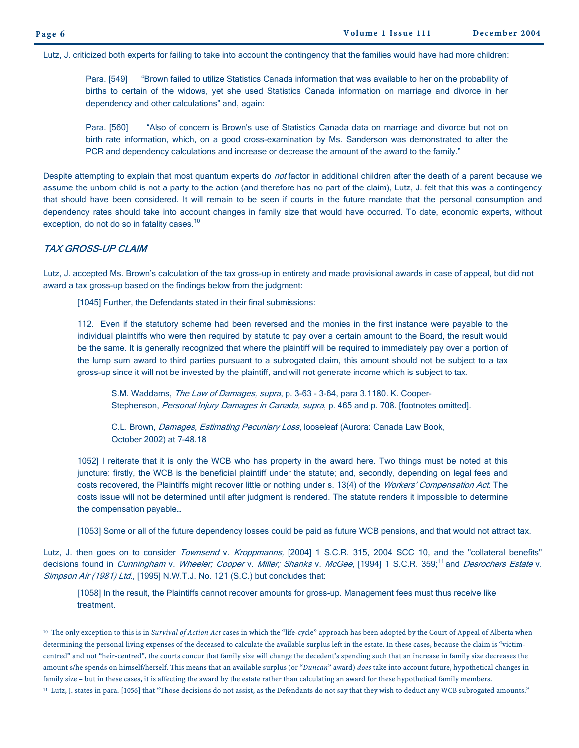Lutz, J. criticized both experts for failing to take into account the contingency that the families would have had more children:

Para. [549] "Brown failed to utilize Statistics Canada information that was available to her on the probability of births to certain of the widows, yet she used Statistics Canada information on marriage and divorce in her dependency and other calculations" and, again:

Para. [560] "Also of concern is Brown's use of Statistics Canada data on marriage and divorce but not on birth rate information, which, on a good cross-examination by Ms. Sanderson was demonstrated to alter the PCR and dependency calculations and increase or decrease the amount of the award to the family."

Despite attempting to explain that most quantum experts do not factor in additional children after the death of a parent because we assume the unborn child is not a party to the action (and therefore has no part of the claim), Lutz, J. felt that this was a contingency that should have been considered. It will remain to be seen if courts in the future mandate that the personal consumption and dependency rates should take into account changes in family size that would have occurred. To date, economic experts, without exception, do not do so in fatality cases.<sup>10</sup>

#### TAX GROSS-UP CLAIM

Lutz, J. accepted Ms. Brown's calculation of the tax gross-up in entirety and made provisional awards in case of appeal, but did not award a tax gross-up based on the findings below from the judgment:

[1045] Further, the Defendants stated in their final submissions:

112. Even if the statutory scheme had been reversed and the monies in the first instance were payable to the individual plaintiffs who were then required by statute to pay over a certain amount to the Board, the result would be the same. It is generally recognized that where the plaintiff will be required to immediately pay over a portion of the lump sum award to third parties pursuant to a subrogated claim, this amount should not be subject to a tax gross-up since it will not be invested by the plaintiff, and will not generate income which is subject to tax.

S.M. Waddams, The Law of Damages, supra, p. 3-63 - 3-64, para 3.1180. K. Cooper-Stephenson, Personal Injury Damages in Canada, supra, p. 465 and p. 708. [footnotes omitted].

C.L. Brown, *Damages, Estimating Pecuniary Loss*, looseleaf (Aurora: Canada Law Book, October 2002) at 7-48.18

1052] I reiterate that it is only the WCB who has property in the award here. Two things must be noted at this juncture: firstly, the WCB is the beneficial plaintiff under the statute; and, secondly, depending on legal fees and costs recovered, the Plaintiffs might recover little or nothing under s. 13(4) of the Workers' Compensation Act. The costs issue will not be determined until after judgment is rendered. The statute renders it impossible to determine the compensation payable…

[1053] Some or all of the future dependency losses could be paid as future WCB pensions, and that would not attract tax.

Lutz, J. then goes on to consider Townsend v. Kroppmanns, [2004] 1 S.C.R. 315, 2004 SCC 10, and the "collateral benefits" decisions found in *Cunningham v. Wheeler; Cooper v. Miller; Shanks v. McGee*, [1994] 1 S.C.R. 359;<sup>11</sup> and *Desrochers Estate v.* Simpson Air (1981) Ltd., [1995] N.W.T.J. No. 121 (S.C.) but concludes that:

[1058] In the result, the Plaintiffs cannot recover amounts for gross-up. Management fees must thus receive like treatment.

<sup>10</sup> The only exception to this is in *Survival of Action Act* cases in which the "life-cycle" approach has been adopted by the Court of Appeal of Alberta when determining the personal living expenses of the deceased to calculate the available surplus left in the estate. In these cases, because the claim is "victimcentred" and not "heir-centred", the courts concur that family size will change the decedent's spending such that an increase in family size decreases the amount s/he spends on himself/herself. This means that an available surplus (or "*Duncan*" award) *does* take into account future, hypothetical changes in family size – but in these cases, it is affecting the award by the estate rather than calculating an award for these hypothetical family members. 11 Lutz, J. states in para. [1056] that "Those decisions do not assist, as the Defendants do not say that they wish to deduct any WCB subrogated amounts."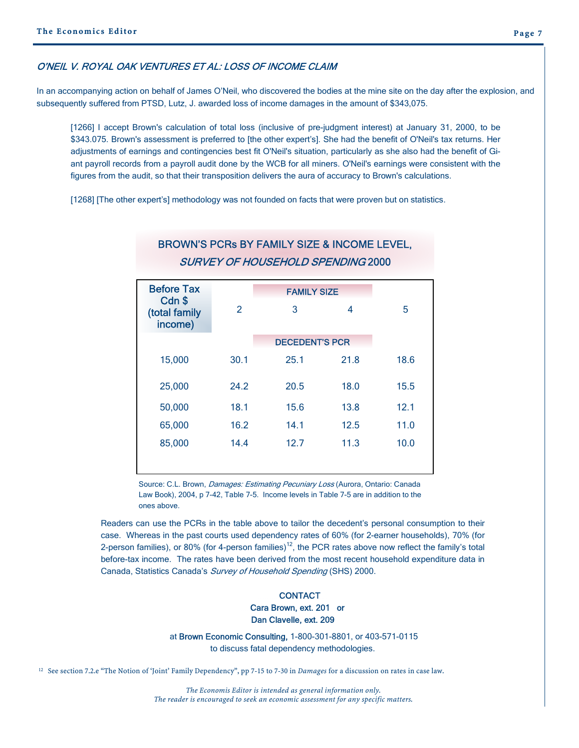#### O'NEIL V. ROYAL OAK VENTURES ET AL: LOSS OF INCOME CLAIM

In an accompanying action on behalf of James O'Neil, who discovered the bodies at the mine site on the day after the explosion, and subsequently suffered from PTSD, Lutz, J. awarded loss of income damages in the amount of \$343,075.

[1266] I accept Brown's calculation of total loss (inclusive of pre-judgment interest) at January 31, 2000, to be \$343.075. Brown's assessment is preferred to [the other expert's]. She had the benefit of O'Neil's tax returns. Her adjustments of earnings and contingencies best fit O'Neil's situation, particularly as she also had the benefit of Giant payroll records from a payroll audit done by the WCB for all miners. O'Neil's earnings were consistent with the figures from the audit, so that their transposition delivers the aura of accuracy to Brown's calculations.

[1268] [The other expert's] methodology was not founded on facts that were proven but on statistics.

| <b>Before Tax</b><br>Cdn \$ |               | <b>FAMILY SIZE</b>    |      |      |
|-----------------------------|---------------|-----------------------|------|------|
| (total family<br>income)    | $\mathcal{P}$ | 3                     | 4    | 5    |
|                             |               | <b>DECEDENT'S PCR</b> |      |      |
| 15,000                      | 30.1          | 25.1                  | 21.8 | 18.6 |
| 25,000                      | 24.2          | 20.5                  | 18.0 | 15.5 |
| 50,000                      | 18.1          | 15.6                  | 13.8 | 12.1 |
| 65,000                      | 16.2          | 14.1                  | 12.5 | 11.0 |
| 85,000                      | 14.4          | 12.7                  | 11.3 | 10.0 |
|                             |               |                       |      |      |

### BROWN'S PCRs BY FAMILY SIZE & INCOME LEVEL, SURVEY OF HOUSEHOLD SPENDING 2000

Source: C.L. Brown, *Damages: Estimating Pecuniary Loss* (Aurora, Ontario: Canada Law Book), 2004, p 7-42, Table 7-5. Income levels in Table 7-5 are in addition to the ones above.

Readers can use the PCRs in the table above to tailor the decedent's personal consumption to their case. Whereas in the past courts used dependency rates of 60% (for 2-earner households), 70% (for 2-person families), or 80% (for 4-person families)<sup>12</sup>, the PCR rates above now reflect the family's total before-tax income. The rates have been derived from the most recent household expenditure data in Canada, Statistics Canada's Survey of Household Spending (SHS) 2000.

#### **CONTACT**  Cara Brown, ext. 201 or Dan Clavelle, ext. 209

 at Brown Economic Consulting, 1-800-301-8801, or 403-571-0115 to discuss fatal dependency methodologies.

12 See section 7.2.e "The Notion of 'Joint' Family Dependency", pp 7-15 to 7-30 in *Damages* for a discussion on rates in case law.